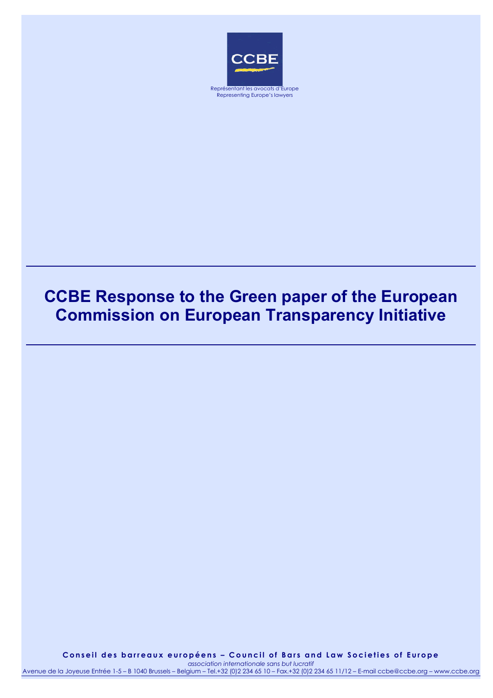

Representing Europe's lawyers

# **CCBE Response to the Green paper of the European Commission on European Transparency Initiative**

**Conseil des barreaux européens – Council of Bars and Law Societies of Europe**  *association internationale sans but lucratif* Avenue de la Joyeuse Entrée 1-5 – B 1040 Brussels – Belgium – Tel.+32 (0)2 234 65 10 – Fax.+32 (0)2 234 65 11/12 – E-mail ccbe@ccbe.org – www.ccbe.org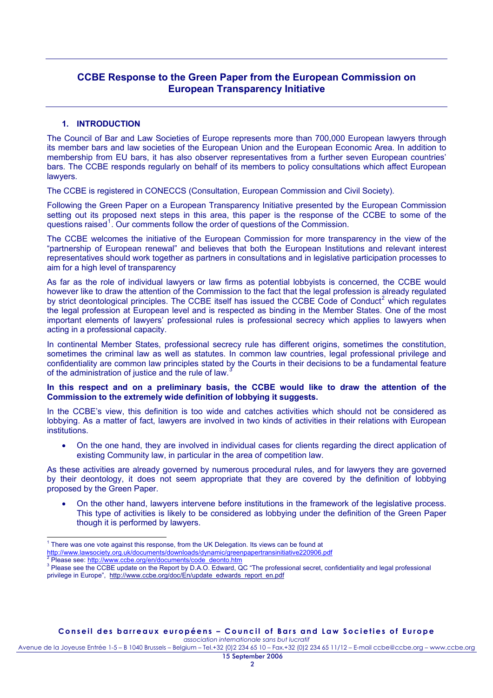# **CCBE Response to the Green Paper from the European Commission on European Transparency Initiative**

## **1. INTRODUCTION**

The Council of Bar and Law Societies of Europe represents more than 700,000 European lawyers through its member bars and law societies of the European Union and the European Economic Area. In addition to membership from EU bars, it has also observer representatives from a further seven European countries' bars. The CCBE responds regularly on behalf of its members to policy consultations which affect European lawyers.

The CCBE is registered in CONECCS (Consultation, European Commission and Civil Society).

Following the Green Paper on a European Transparency Initiative presented by the European Commission setting out its proposed next steps in this area, this paper is the response of the CCBE to some of the questions raised<sup>[1](#page-1-0)</sup>. Our comments follow the order of questions of the Commission.

The CCBE welcomes the initiative of the European Commission for more transparency in the view of the "partnership of European renewal" and believes that both the European Institutions and relevant interest representatives should work together as partners in consultations and in legislative participation processes to aim for a high level of transparency

As far as the role of individual lawyers or law firms as potential lobbyists is concerned, the CCBE would however like to draw the attention of the Commission to the fact that the legal profession is already regulated by strict deontological principles. The CCBE itself has issued the CCBE Code of Conduct<sup>[2](#page-1-1)</sup> which regulates the legal profession at European level and is respected as binding in the Member States. One of the most important elements of lawyers' professional rules is professional secrecy which applies to lawyers when acting in a professional capacity.

In continental Member States, professional secrecy rule has different origins, sometimes the constitution, sometimes the criminal law as well as statutes. In common law countries, legal professional privilege and confidentiality are common law principles stated by the Courts in their decisions to be a fundamental feature of the administration of justice and the rule of law.

#### **In this respect and on a preliminary basis, the CCBE would like to draw the attention of the Commission to the extremely wide definition of lobbying it suggests.**

In the CCBE's view, this definition is too wide and catches activities which should not be considered as lobbying. As a matter of fact, lawyers are involved in two kinds of activities in their relations with European institutions.

• On the one hand, they are involved in individual cases for clients regarding the direct application of existing Community law, in particular in the area of competition law.

As these activities are already governed by numerous procedural rules, and for lawyers they are governed by their deontology, it does not seem appropriate that they are covered by the definition of lobbying proposed by the Green Paper.

- On the other hand, lawyers intervene before institutions in the framework of the legislative process. This type of activities is likely to be considered as lobbying under the definition of the Green Paper though it is performed by lawyers.
- 1 There was one vote against this response, from the UK Delegation. Its views can be found at

Avenue de la Joyeuse Entrée 1-5 – B 1040 Brussels – Belgium – Tel.+32 (0)2 234 65 10 – Fax.+32 (0)2 234 65 11/12 – E-mail ccbe@ccbe.org – www.ccbe.org

<span id="page-1-0"></span><http://www.lawsociety.org.uk/documents/downloads/dynamic/greenpapertransinitiative220906.pdf>

<span id="page-1-1"></span>Please see: [http://www.ccbe.org/en/documents/code\\_deonto.htm](http://www.ccbe.org/en/documents/code_deonto.htm)

<span id="page-1-2"></span><sup>&</sup>lt;sup>3</sup> Please see the CCBE update on the Report by D.A.O. Edward, QC "The professional secret, confidentiality and legal professional privilege in Europe", [http://www.ccbe.org/doc/En/update\\_edwards\\_report\\_en.pdf](http://www.ccbe.org/doc/En/update_edwards_report_en.pdf)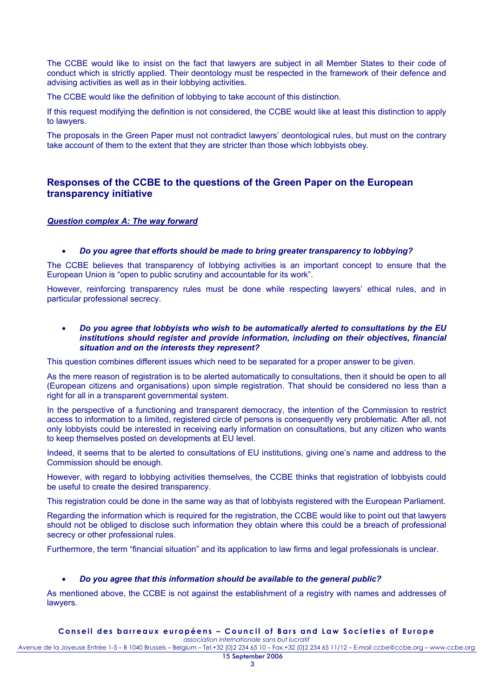The CCBE would like to insist on the fact that lawyers are subject in all Member States to their code of conduct which is strictly applied. Their deontology must be respected in the framework of their defence and advising activities as well as in their lobbying activities.

The CCBE would like the definition of lobbying to take account of this distinction.

If this request modifying the definition is not considered, the CCBE would like at least this distinction to apply to lawyers.

The proposals in the Green Paper must not contradict lawyers' deontological rules, but must on the contrary take account of them to the extent that they are stricter than those which lobbyists obey.

# **Responses of the CCBE to the questions of the Green Paper on the European transparency initiative**

#### *Question complex A: The way forward*

#### • *Do you agree that efforts should be made to bring greater transparency to lobbying?*

The CCBE believes that transparency of lobbying activities is an important concept to ensure that the European Union is "open to public scrutiny and accountable for its work".

However, reinforcing transparency rules must be done while respecting lawyers' ethical rules, and in particular professional secrecy.

#### • *Do you agree that lobbyists who wish to be automatically alerted to consultations by the EU institutions should register and provide information, including on their objectives, financial situation and on the interests they represent?*

This question combines different issues which need to be separated for a proper answer to be given.

As the mere reason of registration is to be alerted automatically to consultations, then it should be open to all (European citizens and organisations) upon simple registration. That should be considered no less than a right for all in a transparent governmental system.

In the perspective of a functioning and transparent democracy, the intention of the Commission to restrict access to information to a limited, registered circle of persons is consequently very problematic. After all, not only lobbyists could be interested in receiving early information on consultations, but any citizen who wants to keep themselves posted on developments at EU level.

Indeed, it seems that to be alerted to consultations of EU institutions, giving one's name and address to the Commission should be enough.

However, with regard to lobbying activities themselves, the CCBE thinks that registration of lobbyists could be useful to create the desired transparency.

This registration could be done in the same way as that of lobbyists registered with the European Parliament.

Regarding the information which is required for the registration, the CCBE would like to point out that lawyers should not be obliged to disclose such information they obtain where this could be a breach of professional secrecy or other professional rules.

Furthermore, the term "financial situation" and its application to law firms and legal professionals is unclear.

#### • *Do you agree that this information should be available to the general public?*

As mentioned above, the CCBE is not against the establishment of a registry with names and addresses of lawyers.

#### **Conseil des barreaux européens – Council of Bars and Law Societies of Europe**

*association internationale sans but lucratif* Avenue de la Joyeuse Entrée 1-5 – B 1040 Brussels – Belgium – Tel.+32 (0)2 234 65 10 – Fax.+32 (0)2 234 65 11/12 – E-mail ccbe@ccbe.org – www.ccbe.org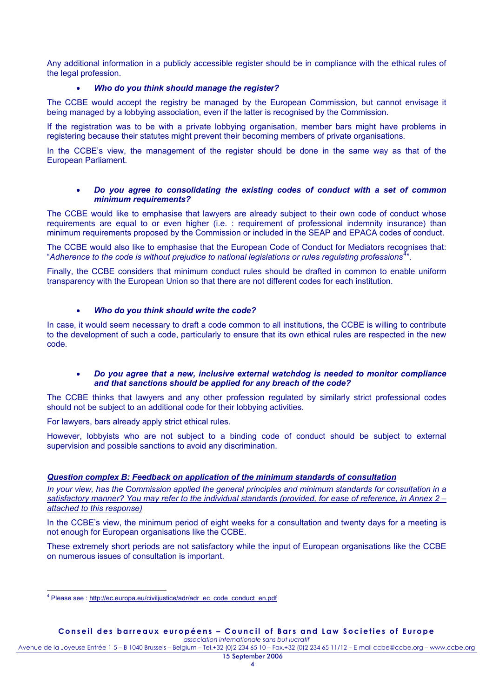Any additional information in a publicly accessible register should be in compliance with the ethical rules of the legal profession.

#### • *Who do you think should manage the register?*

The CCBE would accept the registry be managed by the European Commission, but cannot envisage it being managed by a lobbying association, even if the latter is recognised by the Commission.

If the registration was to be with a private lobbying organisation, member bars might have problems in registering because their statutes might prevent their becoming members of private organisations.

In the CCBE's view, the management of the register should be done in the same way as that of the European Parliament.

#### • *Do you agree to consolidating the existing codes of conduct with a set of common minimum requirements?*

The CCBE would like to emphasise that lawyers are already subject to their own code of conduct whose requirements are equal to or even higher (i.e. : requirement of professional indemnity insurance) than minimum requirements proposed by the Commission or included in the SEAP and EPACA codes of conduct.

The CCBE would also like to emphasise that the European Code of Conduct for Mediators recognises that: "Adherence to the code is without prejudice to national legislations or rules regulating professions<sup>[4](#page-3-0)</sup>".

Finally, the CCBE considers that minimum conduct rules should be drafted in common to enable uniform transparency with the European Union so that there are not different codes for each institution.

### • *Who do you think should write the code?*

In case, it would seem necessary to draft a code common to all institutions, the CCBE is willing to contribute to the development of such a code, particularly to ensure that its own ethical rules are respected in the new code.

#### • *Do you agree that a new, inclusive external watchdog is needed to monitor compliance and that sanctions should be applied for any breach of the code?*

The CCBE thinks that lawyers and any other profession regulated by similarly strict professional codes should not be subject to an additional code for their lobbying activities.

For lawyers, bars already apply strict ethical rules.

However, lobbyists who are not subject to a binding code of conduct should be subject to external supervision and possible sanctions to avoid any discrimination.

## *Question complex B: Feedback on application of the minimum standards of consultation*

*In your view, has the Commission applied the general principles and minimum standards for consultation in a satisfactory manner? You may refer to the individual standards (provided, for ease of reference, in Annex 2 – attached to this response)*

In the CCBE's view, the minimum period of eight weeks for a consultation and twenty days for a meeting is not enough for European organisations like the CCBE.

These extremely short periods are not satisfactory while the input of European organisations like the CCBE on numerous issues of consultation is important.

Avenue de la Joyeuse Entrée 1-5 – B 1040 Brussels – Belgium – Tel.+32 (0)2 234 65 10 – Fax.+32 (0)2 234 65 11/12 – E-mail ccbe@ccbe.org – www.ccbe.org

<span id="page-3-0"></span><sup>&</sup>lt;sup>4</sup> Please see : http://ec.europa.eu/civiliustice/adr/adr\_ec\_code\_conduct\_en.pdf